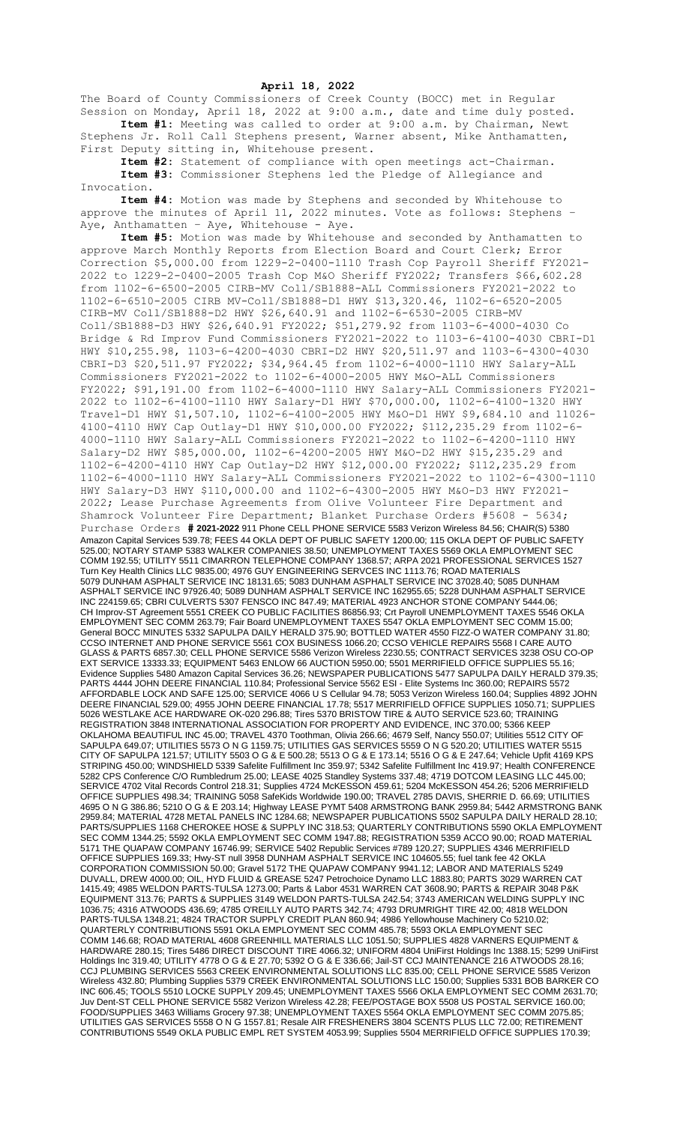## **April 18, 2022**

The Board of County Commissioners of Creek County (BOCC) met in Regular Session on Monday, April 18, 2022 at 9:00 a.m., date and time duly posted. **Item #1:** Meeting was called to order at 9:00 a.m. by Chairman, Newt Stephens Jr. Roll Call Stephens present, Warner absent, Mike Anthamatten,

First Deputy sitting in, Whitehouse present. **Item #2:** Statement of compliance with open meetings act-Chairman. **Item #3:** Commissioner Stephens led the Pledge of Allegiance and Invocation.

**Item #4:** Motion was made by Stephens and seconded by Whitehouse to approve the minutes of April 11, 2022 minutes. Vote as follows: Stephens – Aye, Anthamatten - Aye, Whitehouse - Aye.

**Item #5:** Motion was made by Whitehouse and seconded by Anthamatten to approve March Monthly Reports from Election Board and Court Clerk; Error Correction \$5,000.00 from 1229-2-0400-1110 Trash Cop Payroll Sheriff FY2021- 2022 to 1229-2-0400-2005 Trash Cop M&O Sheriff FY2022; Transfers \$66,602.28 from 1102-6-6500-2005 CIRB-MV Coll/SB1888-ALL Commissioners FY2021-2022 to 1102-6-6510-2005 CIRB MV-Coll/SB1888-D1 HWY \$13,320.46, 1102-6-6520-2005 CIRB-MV Coll/SB1888-D2 HWY \$26,640.91 and 1102-6-6530-2005 CIRB-MV Coll/SB1888-D3 HWY \$26,640.91 FY2022; \$51,279.92 from 1103-6-4000-4030 Co Bridge & Rd Improv Fund Commissioners FY2021-2022 to 1103-6-4100-4030 CBRI-D1 HWY \$10,255.98, 1103-6-4200-4030 CBRI-D2 HWY \$20,511.97 and 1103-6-4300-4030 CBRI-D3 \$20,511.97 FY2022; \$34,964.45 from 1102-6-4000-1110 HWY Salary-ALL Commissioners FY2021-2022 to 1102-6-4000-2005 HWY M&O-ALL Commissioners FY2022; \$91,191.00 from 1102-6-4000-1110 HWY Salary-ALL Commissioners FY2021- 2022 to 1102-6-4100-1110 HWY Salary-D1 HWY \$70,000.00, 1102-6-4100-1320 HWY Travel-D1 HWY \$1,507.10, 1102-6-4100-2005 HWY M&O-D1 HWY \$9,684.10 and 11026- 4100-4110 HWY Cap Outlay-D1 HWY \$10,000.00 FY2022; \$112,235.29 from 1102-6- 4000-1110 HWY Salary-ALL Commissioners FY2021-2022 to 1102-6-4200-1110 HWY Salary-D2 HWY \$85,000.00, 1102-6-4200-2005 HWY M&O-D2 HWY \$15,235.29 and 1102-6-4200-4110 HWY Cap Outlay-D2 HWY \$12,000.00 FY2022; \$112,235.29 from 1102-6-4000-1110 HWY Salary-ALL Commissioners FY2021-2022 to 1102-6-4300-1110 HWY Salary-D3 HWY \$110,000.00 and 1102-6-4300-2005 HWY M&O-D3 HWY FY2021- 2022; Lease Purchase Agreements from Olive Volunteer Fire Department and Shamrock Volunteer Fire Department; Blanket Purchase Orders #5608 - 5634; Purchase Orders **# 2021-2022** 911 Phone CELL PHONE SERVICE 5583 Verizon Wireless 84.56; CHAIR(S) 5380 Amazon Capital Services 539.78; FEES 44 OKLA DEPT OF PUBLIC SAFETY 1200.00; 115 OKLA DEPT OF PUBLIC SAFETY 525.00; NOTARY STAMP 5383 WALKER COMPANIES 38.50; UNEMPLOYMENT TAXES 5569 OKLA EMPLOYMENT SEC COMM 192.55; UTILITY 5511 CIMARRON TELEPHONE COMPANY 1368.57; ARPA 2021 PROFESSIONAL SERVICES 1527 Turn Key Health Clinics LLC 9835.00; 4976 GUY ENGINEERING SERVCES INC 1113.76; ROAD MATERIALS 5079 DUNHAM ASPHALT SERVICE INC 18131.65; 5083 DUNHAM ASPHALT SERVICE INC 37028.40; 5085 DUNHAM ASPHALT SERVICE INC 97926.40; 5089 DUNHAM ASPHALT SERVICE INC 162955.65; 5228 DUNHAM ASPHALT SERVICE INC 224159.65; CBRI CULVERTS 5307 FENSCO INC 847.49; MATERIAL 4923 ANCHOR STONE COMPANY 5444.06; CH Improv-ST Agreement 5551 CREEK CO PUBLIC FACILITIES 86856.93; Crt Payroll UNEMPLOYMENT TAXES 5546 OKLA EMPLOYMENT SEC COMM 263.79; Fair Board UNEMPLOYMENT TAXES 5547 OKLA EMPLOYMENT SEC COMM 15.00; General BOCC MINUTES 5332 SAPULPA DAILY HERALD 375.90; BOTTLED WATER 4550 FIZZ-O WATER COMPANY 31.80; CCSO INTERNET AND PHONE SERVICE 5561 COX BUSINESS 1066.20; CCSO VEHICLE REPAIRS 5568 I CARE AUTO GLASS & PARTS 6857.30; CELL PHONE SERVICE 5586 Verizon Wireless 2230.55; CONTRACT SERVICES 3238 OSU CO-OP EXT SERVICE 13333.33; EQUIPMENT 5463 ENLOW 66 AUCTION 5950.00; 5501 MERRIFIELD OFFICE SUPPLIES 55.16; Evidence Supplies 5480 Amazon Capital Services 36.26; NEWSPAPER PUBLICATIONS 5477 SAPULPA DAILY HERALD 379.35; PARTS 4444 JOHN DEERE FINANCIAL 110.84; Professional Service 5562 ESI - Elite Systems Inc 360.00; REPAIRS 5572 AFFORDABLE LOCK AND SAFE 125.00; SERVICE 4066 U S Cellular 94.78; 5053 Verizon Wireless 160.04; Supplies 4892 JOHN DEERE FINANCIAL 529.00; 4955 JOHN DEERE FINANCIAL 17.78; 5517 MERRIFIELD OFFICE SUPPLIES 1050.71; SUPPLIES 5026 WESTLAKE ACE HARDWARE OK-020 296.88; Tires 5370 BRISTOW TIRE & AUTO SERVICE 523.60; TRAINING REGISTRATION 3848 INTERNATIONAL ASSOCIATION FOR PROPERTY AND EVIDENCE, INC 370.00; 5366 KEEP OKLAHOMA BEAUTIFUL INC 45.00; TRAVEL 4370 Toothman, Olivia 266.66; 4679 Self, Nancy 550.07; Utilities 5512 CITY OF SAPULPA 649.07; UTILITIES 5573 O N G 1159.75; UTILITIES GAS SERVICES 5559 O N G 520.20; UTILITIES WATER 5515 CITY OF SAPULPA 121.57; UTILITY 5503 O G & E 500.28; 5513 O G & E 173.14; 5516 O G & E 247.64; Vehicle Upfit 4169 KPS STRIPING 450.00; WINDSHIELD 5339 Safelite Fulfillment Inc 359.97; 5342 Safelite Fulfillment Inc 419.97; Health CONFERENCE 5282 CPS Conference C/O Rumbledrum 25.00; LEASE 4025 Standley Systems 337.48; 4719 DOTCOM LEASING LLC 445.00; SERVICE 4702 Vital Records Control 218.31; Supplies 4724 McKESSON 459.61; 5204 McKESSON 454.26; 5206 MERRIFIELD OFFICE SUPPLIES 498.34; TRAINING 5058 SafeKids Worldwide 190.00; TRAVEL 2785 DAVIS, SHERRIE D. 66.69; UTILITIES 4695 O N G 386.86; 5210 O G & E 203.14; Highway LEASE PYMT 5408 ARMSTRONG BANK 2959.84; 5442 ARMSTRONG BANK 2959.84; MATERIAL 4728 METAL PANELS INC 1284.68; NEWSPAPER PUBLICATIONS 5502 SAPULPA DAILY HERALD 28.10; PARTS/SUPPLIES 1168 CHEROKEE HOSE & SUPPLY INC 318.53; QUARTERLY CONTRIBUTIONS 5590 OKLA EMPLOYMENT SEC COMM 1344.25; 5592 OKLA EMPLOYMENT SEC COMM 1947.88; REGISTRATION 5359 ACCO 90.00; ROAD MATERIAL 5171 THE QUAPAW COMPANY 16746.99; SERVICE 5402 Republic Services #789 120.27; SUPPLIES 4346 MERRIFIELD OFFICE SUPPLIES 169.33; Hwy-ST null 3958 DUNHAM ASPHALT SERVICE INC 104605.55; fuel tank fee 42 OKLA CORPORATION COMMISSION 50.00; Gravel 5172 THE QUAPAW COMPANY 9941.12; LABOR AND MATERIALS 5249 DUVALL, DREW 4000.00; OIL, HYD FLUID & GREASE 5247 Petrochoice Dynamo LLC 1883.80; PARTS 3029 WARREN CAT 1415.49; 4985 WELDON PARTS-TULSA 1273.00; Parts & Labor 4531 WARREN CAT 3608.90; PARTS & REPAIR 3048 P&K EQUIPMENT 313.76; PARTS & SUPPLIES 3149 WELDON PARTS-TULSA 242.54; 3743 AMERICAN WELDING SUPPLY INC 1036.75; 4316 ATWOODS 436.69; 4785 O'REILLY AUTO PARTS 342.74; 4793 DRUMRIGHT TIRE 42.00; 4818 WELDON PARTS-TULSA 1348.21; 4824 TRACTOR SUPPLY CREDIT PLAN 860.94; 4986 Yellowhouse Machinery Co 5210.02; QUARTERLY CONTRIBUTIONS 5591 OKLA EMPLOYMENT SEC COMM 485.78; 5593 OKLA EMPLOYMENT SEC COMM 146.68; ROAD MATERIAL 4608 GREENHILL MATERIALS LLC 1051.50; SUPPLIES 4828 VARNERS EQUIPMENT & HARDWARE 280.15; Tires 5486 DIRECT DISCOUNT TIRE 4066.32; UNIFORM 4804 UniFirst Holdings Inc 1388.15; 5299 UniFirst Holdings Inc 319.40; UTILITY 4778 O G & E 27.70; 5392 O G & E 336.66; Jail-ST CCJ MAINTENANCE 216 ATWOODS 28.16; CCJ PLUMBING SERVICES 5563 CREEK ENVIRONMENTAL SOLUTIONS LLC 835.00; CELL PHONE SERVICE 5585 Verizon Wireless 432.80; Plumbing Supplies 5379 CREEK ENVIRONMENTAL SOLUTIONS LLC 150.00; Supplies 5331 BOB BARKER CO INC 606.45; TOOLS 5510 LOCKE SUPPLY 209.45; UNEMPLOYMENT TAXES 5566 OKLA EMPLOYMENT SEC COMM 2631.70; Juv Dent-ST CELL PHONE SERVICE 5582 Verizon Wireless 42.28; FEE/POSTAGE BOX 5508 US POSTAL SERVICE 160.00; FOOD/SUPPLIES 3463 Williams Grocery 97.38; UNEMPLOYMENT TAXES 5564 OKLA EMPLOYMENT SEC COMM 2075.85; UTILITIES GAS SERVICES 5558 O N G 1557.81; Resale AIR FRESHENERS 3804 SCENTS PLUS LLC 72.00; RETIREMENT CONTRIBUTIONS 5549 OKLA PUBLIC EMPL RET SYSTEM 4053.99; Supplies 5504 MERRIFIELD OFFICE SUPPLIES 170.39;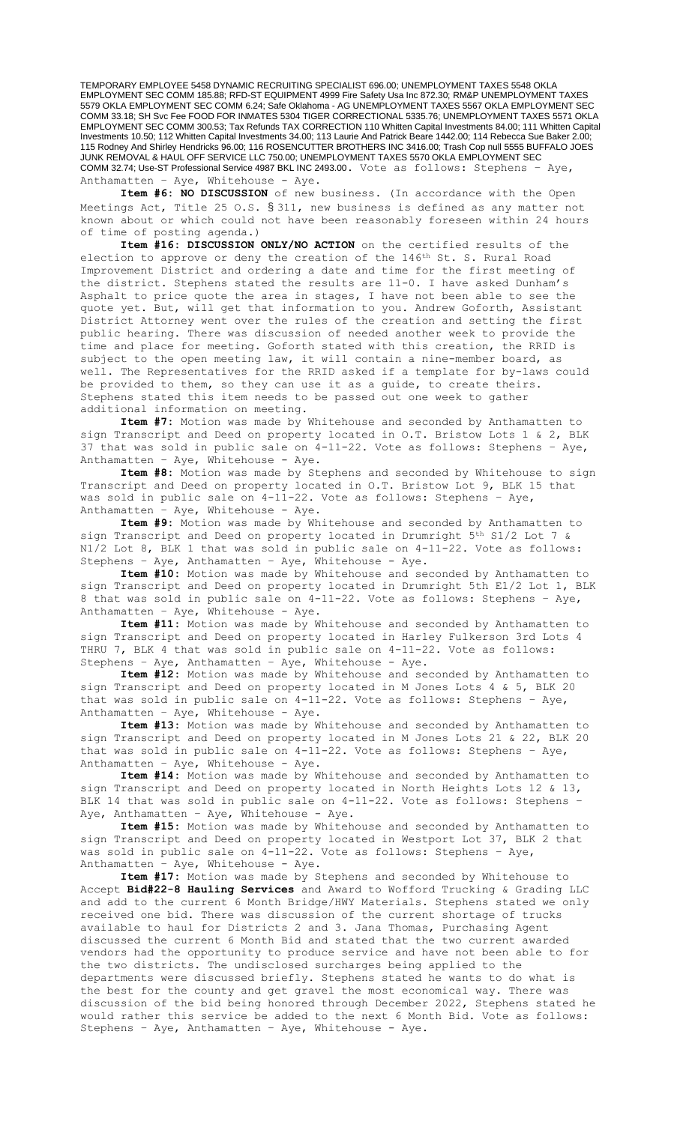TEMPORARY EMPLOYEE 5458 DYNAMIC RECRUITING SPECIALIST 696.00; UNEMPLOYMENT TAXES 5548 OKLA EMPLOYMENT SEC COMM 185.88; RFD-ST EQUIPMENT 4999 Fire Safety Usa Inc 872.30; RM&P UNEMPLOYMENT TAXES 5579 OKLA EMPLOYMENT SEC COMM 6.24; Safe Oklahoma - AG UNEMPLOYMENT TAXES 5567 OKLA EMPLOYMENT SEC COMM 33.18; SH Svc Fee FOOD FOR INMATES 5304 TIGER CORRECTIONAL 5335.76; UNEMPLOYMENT TAXES 5571 OKLA EMPLOYMENT SEC COMM 300.53; Tax Refunds TAX CORRECTION 110 Whitten Capital Investments 84.00; 111 Whitten Capital Investments 10.50; 112 Whitten Capital Investments 34.00; 113 Laurie And Patrick Beare 1442.00; 114 Rebecca Sue Baker 2.00; 115 Rodney And Shirley Hendricks 96.00; 116 ROSENCUTTER BROTHERS INC 3416.00; Trash Cop null 5555 BUFFALO JOES JUNK REMOVAL & HAUL OFF SERVICE LLC 750.00; UNEMPLOYMENT TAXES 5570 OKLA EMPLOYMENT SEC COMM 32.74; Use-ST Professional Service 4987 BKL INC 2493.00. Vote as follows: Stephens – Aye, Anthamatten - Aye, Whitehouse - Aye.

**Item #6: NO DISCUSSION** of new business. (In accordance with the Open Meetings Act, Title 25 O.S. § 311, new business is defined as any matter not known about or which could not have been reasonably foreseen within 24 hours of time of posting agenda.)

**Item #16: DISCUSSION ONLY/NO ACTION** on the certified results of the election to approve or deny the creation of the 146th St. S. Rural Road Improvement District and ordering a date and time for the first meeting of the district. Stephens stated the results are 11-0. I have asked Dunham's Asphalt to price quote the area in stages, I have not been able to see the quote yet. But, will get that information to you. Andrew Goforth, Assistant District Attorney went over the rules of the creation and setting the first public hearing. There was discussion of needed another week to provide the time and place for meeting. Goforth stated with this creation, the RRID is subject to the open meeting law, it will contain a nine-member board, as well. The Representatives for the RRID asked if a template for by-laws could be provided to them, so they can use it as a guide, to create theirs. Stephens stated this item needs to be passed out one week to gather additional information on meeting.

**Item #7:** Motion was made by Whitehouse and seconded by Anthamatten to sign Transcript and Deed on property located in O.T. Bristow Lots 1 & 2, BLK 37 that was sold in public sale on 4-11-22. Vote as follows: Stephens – Aye, Anthamatten - Aye, Whitehouse - Aye.

**Item #8:** Motion was made by Stephens and seconded by Whitehouse to sign Transcript and Deed on property located in O.T. Bristow Lot 9, BLK 15 that was sold in public sale on 4-11-22. Vote as follows: Stephens – Aye, Anthamatten -  $Aye$ , Whitehouse -  $Aye$ .

**Item #9:** Motion was made by Whitehouse and seconded by Anthamatten to sign Transcript and Deed on property located in Drumright 5th S1/2 Lot 7 & N1/2 Lot 8, BLK 1 that was sold in public sale on 4-11-22. Vote as follows: Stephens – Aye, Anthamatten – Aye, Whitehouse - Aye.

**Item #10:** Motion was made by Whitehouse and seconded by Anthamatten to sign Transcript and Deed on property located in Drumright 5th E1/2 Lot 1, BLK 8 that was sold in public sale on 4-11-22. Vote as follows: Stephens – Aye, Anthamatten -  $Aye$ , Whitehouse -  $Aye$ .

**Item #11:** Motion was made by Whitehouse and seconded by Anthamatten to sign Transcript and Deed on property located in Harley Fulkerson 3rd Lots 4 THRU 7, BLK 4 that was sold in public sale on 4-11-22. Vote as follows: Stephens – Aye, Anthamatten – Aye, Whitehouse - Aye.

**Item #12:** Motion was made by Whitehouse and seconded by Anthamatten to sign Transcript and Deed on property located in M Jones Lots 4 & 5, BLK 20 that was sold in public sale on 4-11-22. Vote as follows: Stephens – Aye, Anthamatten -  $Aye$ , Whitehouse -  $Aye$ .

**Item #13:** Motion was made by Whitehouse and seconded by Anthamatten to sign Transcript and Deed on property located in M Jones Lots 21 & 22, BLK 20 that was sold in public sale on 4-11-22. Vote as follows: Stephens – Aye, Anthamatten – Aye, Whitehouse - Aye.

**Item #14:** Motion was made by Whitehouse and seconded by Anthamatten to sign Transcript and Deed on property located in North Heights Lots 12 & 13, BLK 14 that was sold in public sale on 4-11-22. Vote as follows: Stephens Aye, Anthamatten - Aye, Whitehouse - Aye.

**Item #15:** Motion was made by Whitehouse and seconded by Anthamatten to sign Transcript and Deed on property located in Westport Lot 37, BLK 2 that was sold in public sale on 4-11-22. Vote as follows: Stephens - Aye, Anthamatten – Aye, Whitehouse - Aye.

**Item #17:** Motion was made by Stephens and seconded by Whitehouse to Accept **Bid#22-8 Hauling Services** and Award to Wofford Trucking & Grading LLC and add to the current 6 Month Bridge/HWY Materials. Stephens stated we only received one bid. There was discussion of the current shortage of trucks available to haul for Districts 2 and 3. Jana Thomas, Purchasing Agent discussed the current 6 Month Bid and stated that the two current awarded vendors had the opportunity to produce service and have not been able to for the two districts. The undisclosed surcharges being applied to the departments were discussed briefly. Stephens stated he wants to do what is the best for the county and get gravel the most economical way. There was discussion of the bid being honored through December 2022, Stephens stated he would rather this service be added to the next 6 Month Bid. Vote as follows: Stephens – Aye, Anthamatten – Aye, Whitehouse - Aye.